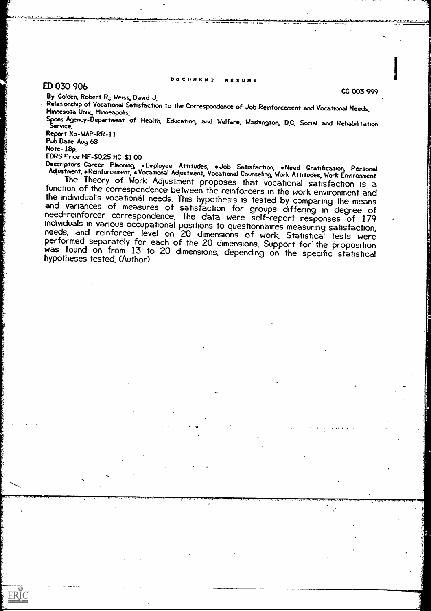#### DOCUMENT RESUME

Window was ca

# ED 030 906 CG 003 999

By-Golden, Robert R.; Weiss, David J.

Relationship of Vocational Satisfaction to the Correspondence of Job Reinforcement and Vocational Needs.<br>Minneso?a Univ., Minneapolis.

Spons Agency-Department of Health, Education, and Welfare, Washington, D.C. Social and Rehabilitation Report WAP -RR -11

Pub Date Aug 68

Note-18p.

 $ERIC$ 

EDRS Price MF-\$0.25 HC-\$1.00<br>Descriptors-Career Planning \*Employee Attitudes, \*Job Satisfaction, \*Need Gratification, Personal<br>Adjustment,\*Reinforcement,\*Vocational Adjustment, Vocational Counseling, Work Attitudes, Work E

The Theory of Work Adjustment proposes that vocational satisfaction is a<br>function of the correspondence between the reinforcers in the work environment and<br>the individual's vocational needs. This hypothesis is tested by co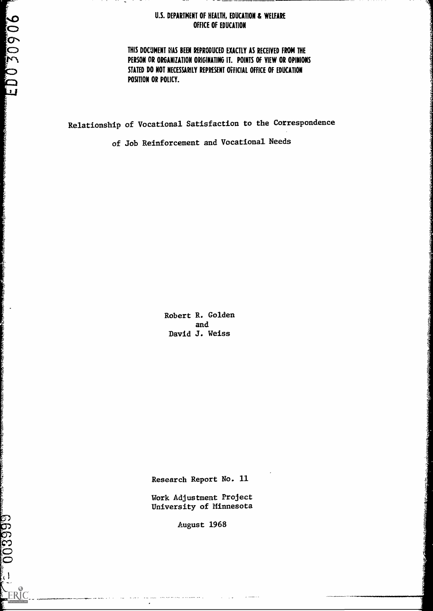### U.S. DEPARTMENT OF HEALTH, EDUCATION & WELFARE OFFICE OF EDUCATION

 $\cdots$ 

THIS DOCUMENT fIAS BEEN REPRODUCED EXACTLY AS RECEIVED FROM THE PERSON OR ORGANIZATION ORIGINATING IT. POINTS OF VIEW OR OPINIONS STATED DO NOT NECESSARILY REPRESENT OFFICIAL OFFICE OF EDUCATION POSITION OR POLICY.

Relationship of Vocational Satisfaction to the Correspondence

of Job Reinforcement and Vocational Needs

Robert R. Golden and David J. Weiss

Research Report No. 11

Work Adjustment Project University of Minnesota

August 1968

**CONSTRUCTOR CONSULTANCIA ANALYM AND STATE** 

a de la construcción de la construcción de la construcción de la construcción de la construcción de la construcción de la construcción de la construcción de la construcción de la construcción de la construcción de la const

 $\frac{1}{\sqrt{1-\frac{3}{2}}}\left(1-\frac{1}{2}\right)$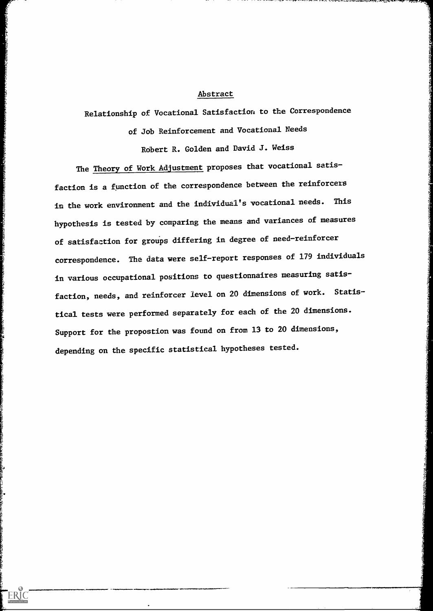#### Abstract

Relationship of Vocational Satisfaction to the Correspondence

of Job Reinforcement and Vocational Needs Robert R. Golden and David J. Weiss

The Theory of Work Adjustment proposes that vocational satisfaction is a fynction of the correspondence between the reinforcers in the work environment and the individual's vocational needs. This hypothesis is tested by comparing the means and variances of measures of satisfaction for groups differing in degree of need-reinforcer correspondence. The data were self-report responses of 179 individuals in various occupational positions to questionnaires measuring satisfaction, needs, and reinforcer level on 20 dimensions of work. Statistical tests were performed separately for each of the 20 dimensions. Support for the propostion was found on from 13 to 20 dimensions, depending on the specific statistical hypotheses tested.

ERIC<br>A Full Text Provided by ERIC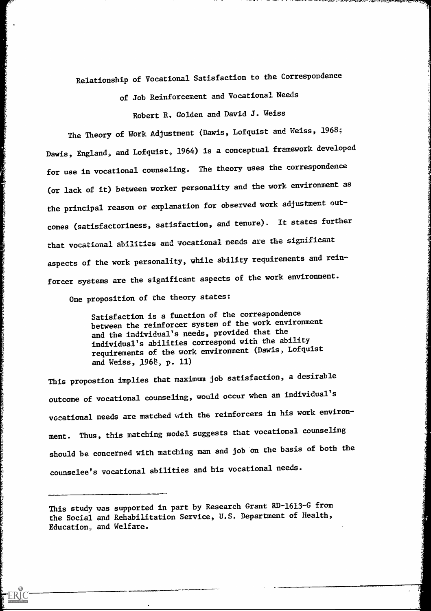Relationship of Vocational Satisfaction to the Correspondence

of Job Reinforcement and Vocational Needs

Robert R. Golden and David J. Weiss

The Theory of Work Adjustment (Davis, Lofquist and Weiss, 1968; Dawis, England, and Lofquist, 1964) is a conceptual framework developed for use in vocational counseling. The theory uses the correspondence (or lack of it) between worker personality and the work environment as the principal reason or explanation for observed work adjustment outcomes (satisfactoriness, satisfaction, and tenure). It states further that vocational abilities and vocational needs are the significant aspects of the work personality, while ability requirements and reinforcer systems are the significant aspects of the work environment.

One proposition of the theory states:

Satisfaction is a function of the correspondence between the reinforcer system of the work environment and the individual's needs, provided that the individual's abilities correspond with the ability requirements of the work environment (Dawis, Lofquist and Weiss, 1968, p. 11)

This propostion implies that maximum job satisfaction, a desirable outcome of vocational counseling, would occur when an individual's vocational needs are matched with the reinforcers in his work environment. Thus, this matching model suggests that vocational counseling should be concerned with matching man and job on the basis of both the counselee's vocational abilities and his vocational needs.

This study was supported in part by Research Grant RD-1613-G from the Social and Rehabilitation Service, U.S. Department of Health, Education, and Welfare.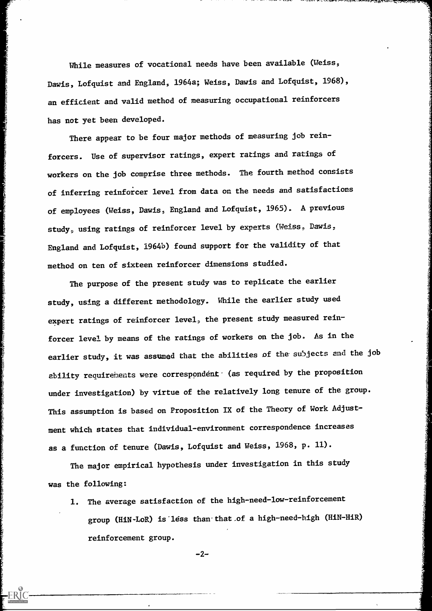While measures of vocational needs have been available (Weiss, Dawis, Lofquist and England, 1964a; Weiss, Dawis and Lofquist, 1968), an efficient and valid method of measuring occupational reinforcers has not yet been developed.

There appear to be four major methods of measuring job reinforcers. Use of supervisor ratings, expert ratings and ratings of workers on the job comprise three methods. The fourth method consists of inferring reinforcer level from data on the needs and satisfactions of employees (Weiss, Dawis, England and Lofquist, 1965). A previous study, using ratings of reinforcer level by experts (Weiss, Dawis, England and Lofquist, 1964b) found support for the validity of that method on ten of sixteen reinforcer dimensions studied.

www.com

ERI<sup>c</sup>

The purpose of the present study was to replicate the earlier study, using a different methodology. While the earlier study used expert ratings of reinforcer level, the present study measured reinforcer level by means of the ratings of workers on the job. As in the earlier study, it was assumed that the abilities of the subjects and the job ability requirements were correspondent (as required by the proposition under investigation) by virtue of the relatively long tenure of the group. This assumption is based on Proposition IX of the Theory of Work Adjustment which states that individual-environment correspondence increases as a function of tenure (Dawis, Lofquist and Weiss, 1968, p. 11).

The major empirical hypothesis under investigation in this study was the following:

1. The average satisfaction of the high-need-low-reinforcement group (HiN-LoR) is less than that of a high-need-high reinforcement group.

 $-2-$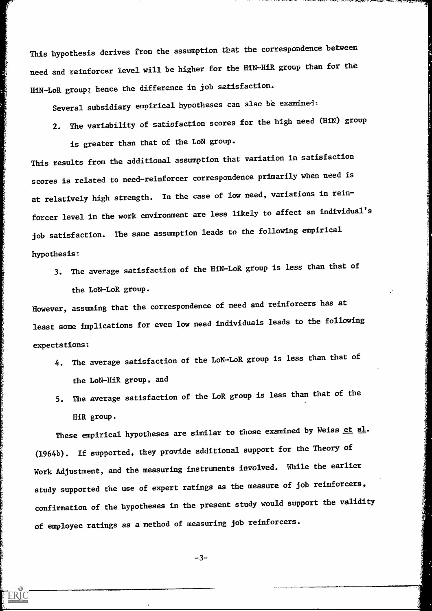This hypothesis derives from the assumption that the correspondence between need and reinforcer level will be higher for the HiN-HiR group than for the HiN-LoR group; hence the difference in job satisfaction.

Several subsidiary empirical hypotheses can also be examined:

2. The variability of satisfaction scores for the high need (HiN) group is greater than that of the LoN group.

This results from the additional assumption that variation in satisfaction scores is related to need-reinforcer correspondence primarily when need is at relatively high strength. In the case of low need, variations in reinforcer level in the work environment are less likely to affect an individual's job satisfaction. The same assumption leads to the following empirical hypothesis:

3. The average satisfaction of the HiN-LoR group is less than that of the LoN-LoR group.

However, assuming that the correspondence of need and reinforcers has at least some implications for even low need individuals leads to the following expectations:

- 4. The average satisfaction of the LoN-LoR group is less than that of the LoN-HiR group, and
- 5. The average satisfaction of the LoR group is less than that of the HiR group.

These empirical hypotheses are similar to those examined by Weiss et al. (1964b). If supported, they provide additional support for the Theory of Work Adjustment, and the measuring instruments involved. While the earlier study supported the use of expert ratings as the measure of job reinforcers, confirmation of the hypotheses in the present study would support the validity of employee ratings as a method of measuring job reinforcers.

-3--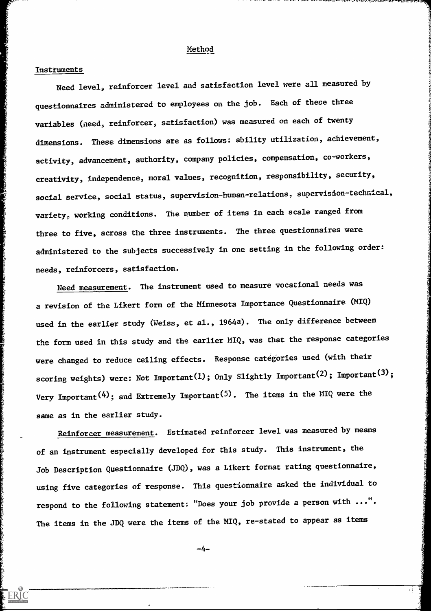#### Method

#### Instruments

**ERIC** 

Need level, reinforcer level and satisfaction level were all measured by questionnaires administered to employees on the job. Each of these three variables (need, reinforcer, satisfaction) was measured on each of twenty dimensions. These dimensions are as follows: ability utilization, achievement, activity, advancement, authority, company policies, compensation, co-workers, creativity, independence, moral values, recognition, responsibility, security, social service, social status, supervision-human-relations, supervision-technical, variety, working conditions. The number of items in each scale ranged from three to five, across the three instruments. The three questionnaires were administered to the subjects successively in one setting in the following order: needs, reinforcers, satisfaction.

Need measurement. The instrument used to measure vocational needs was a revision of the Likert form of the Minnesota Importance Questionnaire (MIQ) used in the earlier study (Weiss, et al., l964a). The only difference between the form used in this study and the earlier MIQ, was that the response categories were changed to reduce ceiling effects. Response categories used (with their scoring weights) were: Not Important(1); Only Slightly Important(2); Important<sup>(3)</sup>; Very Important<sup>(4)</sup>; and Extremely Important<sup>(5)</sup>. The items in the MIQ were the same as in the earlier study.

Reinforcer measurement. Estimated reinforcer level was measured by means of an instrument especially developed for this study. This instrument, the Job Description Questionnaire (JDQ), was a Likert format rating questionnaire, using five categories of response. This questionnaire asked the individual to respond to the following statement: "Does your job provide a person with ...". The items in the JDQ were the items of the MIQ, re-stated to appear as items

-4-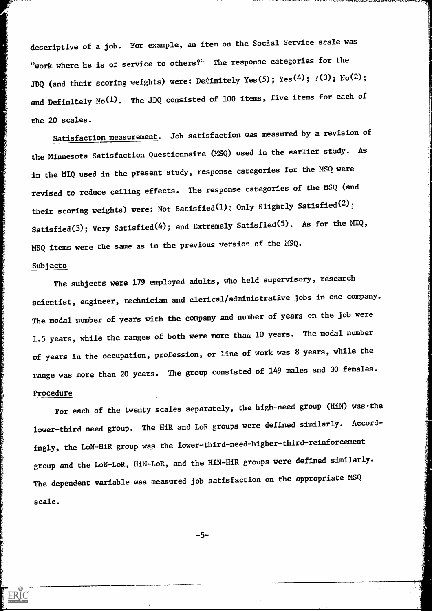descriptive of a job. For example, an item on the Social Service scale was "work where he is of service to others?" The response categories for the JDQ (and their scoring weights) were: Definitely Yes(5); Yes(4);  $?$ (3); No(2); and Definitely No<sup>(1)</sup>. The JDQ consisted of 100 items, five items for each of the 20 scales.

Satisfaction measurement. Job satisfaction was measured by a revision of the Minnesota Satisfaction Questionnaire (ASQ) used in the earlier study. As in the MIQ used in the present study, response categories for the MSQ were revised to reduce ceiling effects. The response categories of the MSQ (and their scoring weights) were: Not Satisfied(1); Only Slightly Satisfied(2): Satisfied(3); Very Satisfied(4); and Extremely Satisfied(5). As for the MIQ, MSQ items were the same as in the previous version of the MSQ.

#### Subjects

The subjects were 179 employed adults, who held supervisory, research scientist, engineer, technician and clerical/administrative jobs in one company. The modal number of years with the company and number of years on the job were 1.5 years, while the ranges of both were more than 10 years. The modal number of years in the occupation, profession, or line of work was 8 years, while the range was more than 20 years. The group consisted of 149 males and 30 females. Procedure

For each of the twenty scales separately, the high-need group (H1N) was the lower-third need group. The HiR and LoR groups were defined similarly. Accordingly, the LoN-HiR group was the lower-third-need-higher-third-reinforcement group and the LoN-LoR, HiN-LoR, and the HiN-HiR groups were defined similarly. The dependent variable was measured job satisfaction on the appropriate MSQ scale.

 $-5-$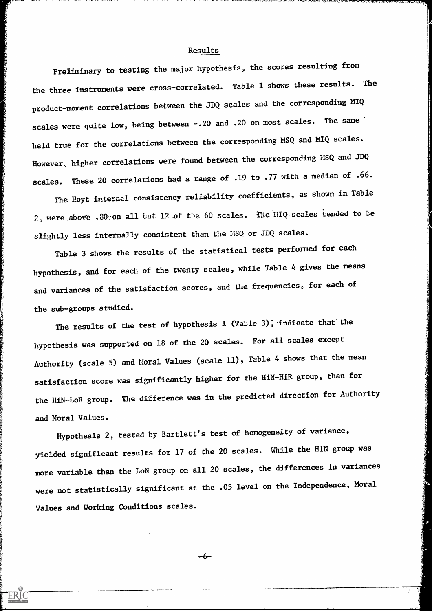#### Results

Preliminary to testing the major hypothesis, the scores resulting from the three instruments were cross-correiated. Table 1 shows these results. The product-moment correlations between the JDQ scales and the corresponding MIQ scales were quite low, being between -. 20 and . 20 on most scales. The same held true for the correlations between the corresponding MSQ and MIQ scales. However, higher correlations were found between the corresponding MSQ and JDQ scales. These 20 correlations had a range of .19 to .77 with a median of .66.

The Hoyt internal consistency reliability coefficients, as shown in Table 2, were above . 30 on all tut 12 of the 60 scales. The  $\text{iiIQ}$  scales tended to be slightly less internally consistent than the MSQ or JDQ scales.

Table 3 shows the results of the statistical tests performed for each hypothesis, and for each of the twenty scales, while Table 4 gives the means and variances of the satisfaction scores, and the frequencies, for each of the sub-groups studied.

The results of the test of hypothesis  $1$  (Table 3), indicate that the hypothesis was supported on 18 of the 20 scales. For all scales except Authority (scale 5) and Moral Values (scale 11), Table 4 shows that the mean satisfaction score was significantly higher for the HiN-HiR group, than for the HiN-LoR group. The difference was in the predicted direction for Authority and Moral Values.

Hypothesis 2, tested by Bartlett's test of homogeneity of variance, yielded significant results for 17 of the 20 scales. While the HiN group was more variable than the LoN group on all 20 scales, the differences in variances were not statistically significant at the .05 level on the Independence, Moral Values and Working Conditions scales.

-6-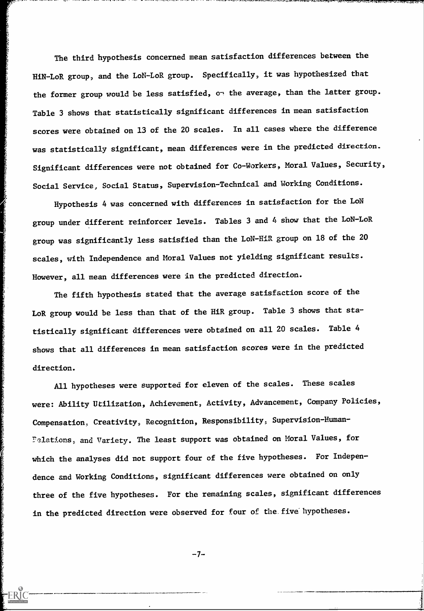The third hypothesis concerned mean satisfaction differences between the HiN-LoR group, and the LoN-LoR group. Specifically, it was hypothesized that the former group would be less satisfied, on the average, than the latter group. Table 3 shows that statistically significant differences in mean satisfaction scores were obtained on 13 of the 20 scales. In all cases where the difference was statistically significant, mean differences were in the predicted direction. Significant differences were not obtained for Co-Workers, Moral Values, Security, Social Service, Social Status, Supervision-Technical and Working Conditions.

 $1,4,4,4,4,4$ 

Hypothesis 4 was concerned with differences in satisfaction for the LoN group under different reinforcer levels. Tables 3 and 4 show that the LoN-LoR group was significantly less satisfied than the LoN-HiR group on 18 of the 20 scales, with Independence and Moral Values not yielding significant results. However, all mean differences were in the predicted direction.

The fifth hypothesis stated that the average satisfaction score of the LoR group would be less than that of the HiR group. Table 3 shows that statistically significant differences were obtained on all 20 scales. Table 4 shows that all differences in mean satisfaction scores were in the predicted direction.

All hypotheses were supported for eleven of the scales. These scales were: Ability Utilization, Achievement, Activity, Advancement, Company Policies, Compensation, Creativity, Recognition, Responsibility, Supervision-Human-Pelations, and Variety. The least support was obtained on Moral Values, for which the analyses did not support four of the five hypotheses. For Independence and Working Conditions, significant differences were obtained on only three of the five hypotheses. For the remaining scales, significant differences in the predicted direction were observed for four of the five'hypotheses.

 $-7-$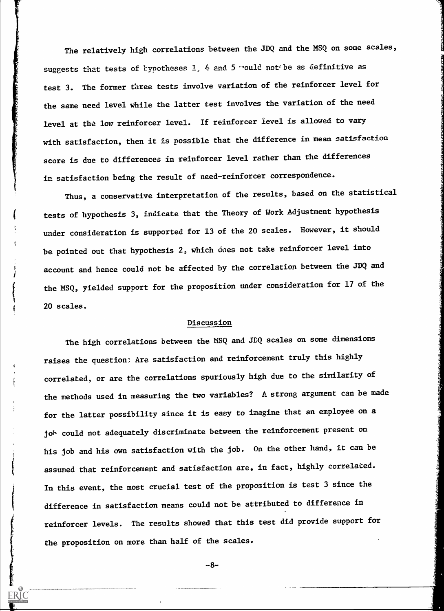The relatively high correlations between the JDQ and the MSQ on some scales, suggests that tests of typotheses  $1$ ,  $4$  and  $5$  -ould not be as definitive as test 3. The former three tests involve variation of the reinforcer level for the same need level while the latter test involves the variation of the need level at the low reinforcer level. If reinforcer level is allowed to vary with satisfaction, then it is possible that the difference in mean satisfaction score is due to differences in reinforcer level rather than the differences in satisfaction being the result of need-reinforcer correspondence.

Thus, a conservative interpretation of the results, based on the statistical tests of hypothesis 3, indicate that the Theory of Work Adjustment hypothesis under consideration is supported for 13 of the 20 scales. However, it should be pointed out that hypothesis 2, which does not take reinforcer level into account and hence could not be affected by the correlation between the JDQ and the MSQ, yielded support for the proposition under consideration for 17 of the 20 scales.

#### Discussion

The high correlations between the MSQ and JDQ scales on some dimensions raises the question; Are satisfaction and reinforcement truly this highly correlated, or are the correlations spuriously high due to the similarity of the methods used in measuring the two variables? A strong argument can be made for the latter possibility since it is easy to imagine that an employee on a job could not adequately discriminate between the reinforcement present on his job and his own satisfaction with the job. On the other hand, it can be assumed that reinforcement and satisfaction are, in fact, highly correlated. In this event, the most crucial test of the proposition is test 3 since the difference in satisfaction means could not be attributed to difference in reinforcer levels. The results showed that this test did provide support for the proposition on more than half of the scales.

 $-8-$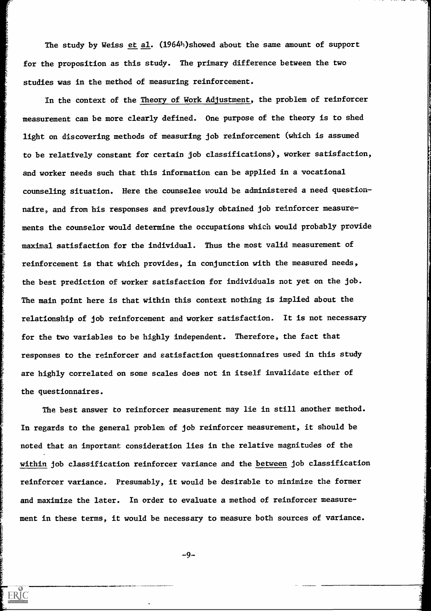The study by Weiss et al. (1964h)showed about the same amount of support for the proposition as this study. The primary difference between the two studies was in the method of measuring reinforcement.

In the context of the Theory of Work Adjustment, the problem of reinforcer measurement can be more clearly defined. One purpose of the theory is to shed light on discovering methods of measuring job reinforcement (which is assumed to be relatively constant for certain job classifications), worker satisfaction, and worker needs such that this information can be applied in a vocational counseling situation. Here the counselee would be administered a need questionnaire, and from his responses and previously obtained job reinforcer measurements the counselor would determine the occupations which would probably provide maximal satisfaction for the individual. Thus the most valid measurement of reinforcement is that which provides, in conjunction with the measured needs, the best prediction of worker satisfaction for individuals not yet on the job. The main point here is that within this context nothing is implied about the relationship of job reinforcement and worker satisfaction. It is not necessary for the two variables to be highly independent. Therefore, the fact that responses to the reinforcer and satisfaction questionnaires used in this study are highly correlated on some scales does not in itself invalidate either of the questionnaires.

The best answer to reinforcer measurement may lie in still another method. In regards to the general problem of job reinforcer measurement, it should be noted that an important consideration lies in the relative magnitudes of the within job classification reinforcer variance and the between job classification reinforcer variance. Presumably, it would be desirable to minimize the former and maximize the later. In order to evaluate a method of reinforcer measurethese terms, it would be necessary to measure both

 $-9-$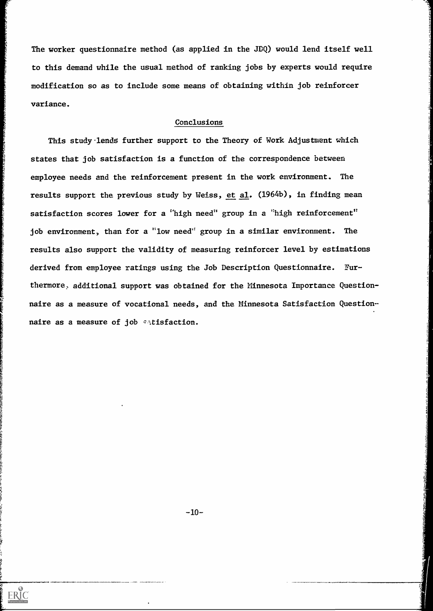The worker questionnaire method (as applied in the JDQ) would lend itself well to this demand while the usual method of ranking jobs by experts would require modification so as to include some means of obtaining within job reinforcer variance.

#### Conclusions

This study-lends further support to the Theory of Work Adjustment which states that job satisfaction is a function of the correspondence between employee needs and the reinforcement present in the work environment. The results support the previous study by Weiss, et  $\underline{\text{al}}$ . (1964b), in finding mean satisfaction scores lower for a "high need" group in a "high reinforcement" job environment, than for a "low need" group in a similar environment. The results also support the validity of measuring reinforcer level by estimations derived from employee ratings using the Job Description Questionnaire. Furthermore, additional support was obtained for the Minnesota Importance Questionnaire as a measure of vocational needs, and the Minnesota Satisfaction Questionnaire as a measure of job  $\sim$ tisfaction.

 $-10-$ 

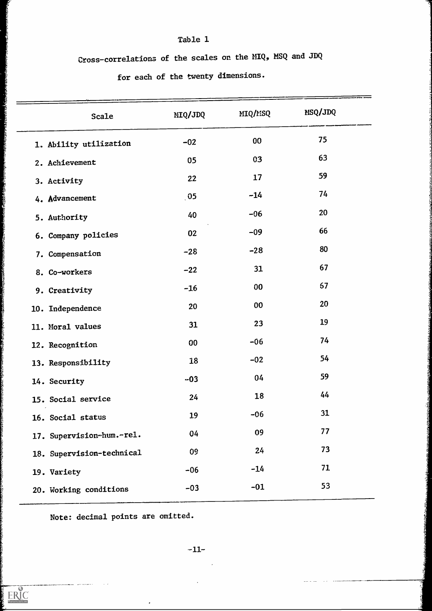Cross-correlations of the scales on the MIQ, MSQ and JDQ

# for eadh of the twenty dimensions.

| <b>Scale</b>              | MIQ/JDQ       | MIQ/MSQ         | MSQ/JDQ   |
|---------------------------|---------------|-----------------|-----------|
| 1. Ability utilization    | $-02$         | 00 <sub>1</sub> | 75        |
| 2. Achievement            | 05            | 03              | 63        |
| 3. Activity               | 22            | 17              | 59        |
| 4. Advancement            | $_{\circ}$ 05 | $-14$           | 74        |
| 5. Authority              | 40            | $-06$           | 20        |
| 6. Company policies       | 02            | $-09$           | 66        |
| 7. Compensation           | $-28$         | $-28$           | 80        |
| 8. Co-workers             | $-22$         | 31              | 67        |
| 9. Creativity             | $-16$         | 00              | <b>67</b> |
| 10. Independence          | 20            | 00              | 20        |
| 11. Moral values          | 31            | 23              | 19        |
| 12. Recognition           | 00            | $-06$           | 74        |
| 13. Responsibility        | 18            | $-02$           | 54        |
| 14. Security              | $-03$         | 04              | 59        |
| 15. Social service        | 24            | 18              | 44        |
| 16. Social status         | 19            | $-06$           | 31        |
| 17. Supervision-hum.-rel. | 04            | 09              | 77        |
| 18. Supervision-technical | 09            | 24              | 73        |
| 19. Variety               | $-06$         | $-14$           | 71        |
| 20. Working conditions    | $-03$         | $-01$           | 53        |
|                           |               |                 |           |

Note: decimal points are omitted.

 $\langle \bullet \rangle$ 

 $-11-$ 

 $\hat{\mathcal{A}}$ 

 $\mathcal{L}^{\text{max}}_{\text{max}}$ 

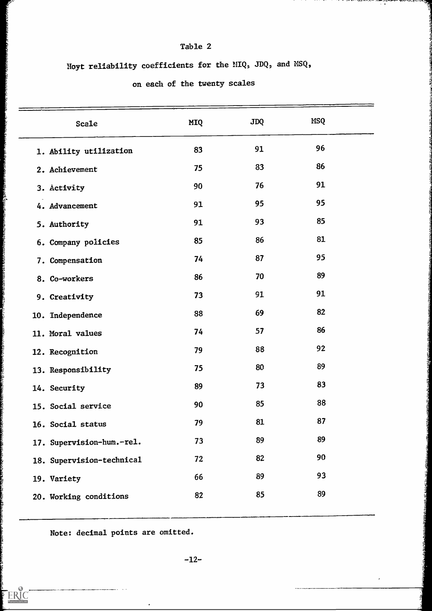Hoyt reliability coefficients for the MIQ, JDQ, and NSQ,

22234854

 $ERIC$ 

on each of the twenty scales

| Scale                     | MIQ | <b>JDQ</b> | <b>MSQ</b> |  |
|---------------------------|-----|------------|------------|--|
| 1. Ability utilization    | 83  | 91         | 96         |  |
| 2. Achievement            | 75  | 83         | 86         |  |
| 3. Activity               | 90  | 76         | 91         |  |
| 4. Advancement            | 91  | 95         | 95         |  |
| 5. Authority              | 91  | 93         | 85         |  |
| 6. Company policies       | 85  | 86         | 81         |  |
| 7. Compensation           | 74  | 87         | 95         |  |
| 8. Co-workers             | 86  | 70         | 89         |  |
| 9. Creativity             | 73  | 91         | 91         |  |
| 10. Independence          | 88  | 69         | 82         |  |
| 11. Moral values          | 74  | 57         | 86         |  |
| 12. Recognition           | 79  | 88         | 92         |  |
| 13. Responsibility        | 75  | 80         | 89         |  |
| 14. Security              | 89  | 73         | 83         |  |
| 15. Social service        | 90  | 85         | 88         |  |
| 16. Social status         | 79  | 81         | 87         |  |
| 17. Supervision-hum.-rel. | 73  | 89         | 89         |  |
|                           | 72  | 82         | 90         |  |
| 18. Supervision-technical | 66  | 89         | 93         |  |
| 19. Variety               |     | 85         | 89         |  |
| 20. Working conditions    | 82  |            |            |  |

Note: decimal points are omitted.

 $\bullet$ 

-12-

 $\epsilon$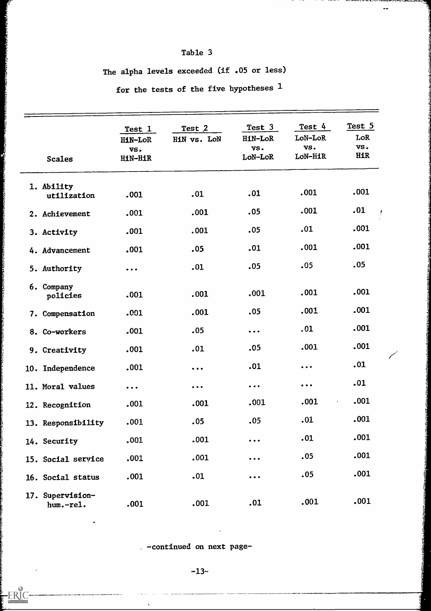# The alpha levels exceeded (if .05 or less)

for the tests of the five hypotheses <sup>1</sup>

|                               | Test 1<br>HiN-LoR             | Test 2<br>HiN vs. LoN                                                       | Test 3<br><b>HiN-LoR</b>                                                    | Test 4<br>LoN-LoR             | Test 5<br>LoR     |
|-------------------------------|-------------------------------|-----------------------------------------------------------------------------|-----------------------------------------------------------------------------|-------------------------------|-------------------|
| <b>Scales</b>                 | VS.<br><b>HiN-HiR</b>         |                                                                             | VS.<br>LoN-LoR                                                              | VS.<br>LoN-HiR                | VS.<br><b>HiR</b> |
| 1. Ability<br>utilization     | .001                          | .01                                                                         | .01                                                                         | .001                          | .001              |
| 2. Achievement                | .001                          | .001                                                                        | .05                                                                         | .001                          | .01               |
| 3. Activity                   | .001                          | .001                                                                        | .05                                                                         | .01                           | .001              |
| 4. Advancement                | .001                          | .05                                                                         | .01                                                                         | .001                          | .001              |
| 5. Authority                  | $\bullet$ $\bullet$ $\bullet$ | .01                                                                         | .05                                                                         | .05                           | .05               |
| 6. Company<br>policies        | .001                          | .001                                                                        | .001                                                                        | .001                          | .001              |
| 7. Compensation               | .001                          | .001                                                                        | .05                                                                         | .001                          | .001              |
| 8. Co-workers                 | .001                          | .05                                                                         | $\bullet\hspace{0.1cm} \bullet\hspace{0.1cm} \bullet\hspace{0.1cm} \bullet$ | .01                           | .001              |
| 9. Creativity                 | .001                          | .01                                                                         | .05                                                                         | .001                          | .001              |
| 10. Independence              | ,001                          | $\bullet\hspace{0.1cm} \bullet\hspace{0.1cm} \bullet\hspace{0.1cm} \bullet$ | .01                                                                         | $\bullet\bullet\bullet$       | .01               |
| 11. Moral values              | $\bullet$ $\bullet$ $\bullet$ | $\bullet\hspace{0.1cm} \bullet\hspace{0.1cm} \bullet\hspace{0.1cm} \bullet$ | $\bullet\quad\bullet\quad\bullet$                                           | $\bullet$ $\bullet$ $\bullet$ | .01               |
| 12. Recognition               | .001                          | .001                                                                        | .001                                                                        | .001                          | .001<br>×,        |
| 13. Responsibility            | .001                          | .05                                                                         | .05                                                                         | .01                           | .001              |
| 14. Security                  | .001                          | .001                                                                        | $\bullet\hspace{0.1cm} \bullet\hspace{0.1cm} \bullet\hspace{0.1cm} \bullet$ | .01                           | .001              |
| 15. Social service            | .001                          | .001                                                                        | $\bullet$ $\bullet$ $\bullet$                                               | .05                           | .001              |
| 16. Social status             | .001                          | .01                                                                         | $\bullet\ \bullet\ \bullet$                                                 | .05                           | .001              |
| 17. Supervision-<br>hum.-rel. | .001                          | .001                                                                        | .01                                                                         | .001                          | .001              |

-continued on next page-

 $\sim$   $\sim$ 

 $\bullet$ 

 $\cdot$ 

 $-R$ 

 $-13-$ 

 $\langle \bullet \rangle$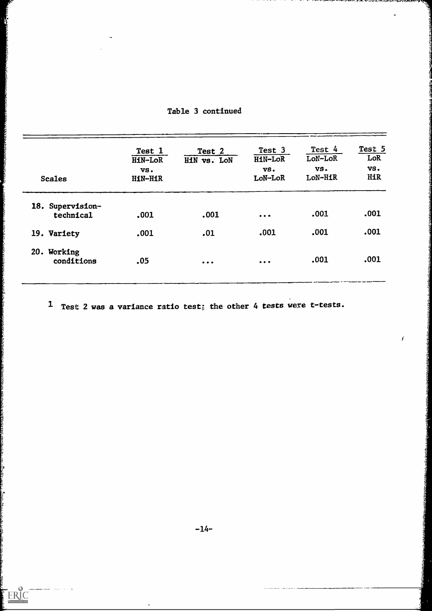| <b>Scales</b>                 | Test 1<br>HiN-LoR<br>VS.<br>HiN-HiR | Test 2<br>HiN vs. LoN   | Test 3<br>HiN-LoR<br>VS.<br>LoN-LoR                                         | Test 4<br>LoN-LoR<br>VS.<br>LoN-HiR | Test 5<br>LoR<br>VS.<br><b>HiR</b> |  |
|-------------------------------|-------------------------------------|-------------------------|-----------------------------------------------------------------------------|-------------------------------------|------------------------------------|--|
| 18. Supervision-<br>technical | .001                                | .001                    | $\bullet\hspace{0.1cm} \bullet\hspace{0.1cm}\bullet\hspace{0.1cm} \bullet$  | .001                                | .001                               |  |
| 19. Variety                   | .001                                | .01                     | .001                                                                        | .001                                | .001                               |  |
| 20. Working<br>conditions     | .05                                 | $\bullet\bullet\bullet$ | $\bullet\hspace{0.1cm} \bullet\hspace{0.1cm} \bullet\hspace{0.1cm} \bullet$ | .001                                | .001                               |  |

# Table 3 continued

**CONTRACTOR** 

Austrizzber

ţ

na kung

ERIC

1 Test 2 was a variance ratio test; the other 4 tests were t-tests.

 $\boldsymbol{f}$ 

 $\bullet$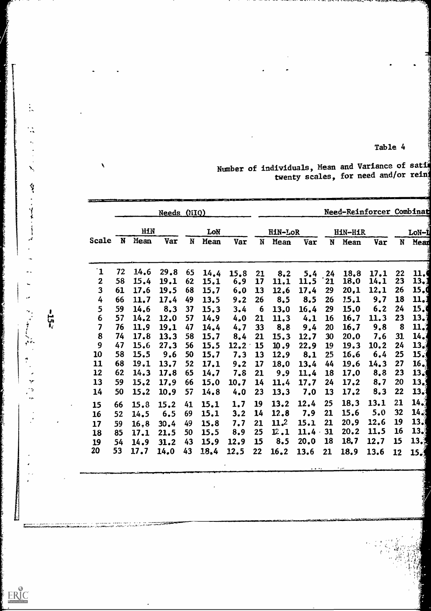Number of individuals, Mean and Variance of sation twenty scales, for need and/or rein

|                         |    |      |             |    |      |      |                  |         |      |           |                | Need-Reinforcer Combinat |           |                 |  |
|-------------------------|----|------|-------------|----|------|------|------------------|---------|------|-----------|----------------|--------------------------|-----------|-----------------|--|
|                         |    |      | Needs (MIQ) |    |      |      |                  |         |      |           |                |                          |           |                 |  |
|                         |    | HIN  |             |    | LoN  |      |                  | HiN-LoR |      |           | <b>HiN-HiR</b> |                          |           | LoN-L           |  |
| Scale                   | N  | Mean | Var         | N  | Mean | Var  | N                | Mean    | Var  | N         | Mean           | Var                      | N         | Mean            |  |
|                         |    |      |             |    |      |      |                  |         |      |           |                |                          |           |                 |  |
| $\mathbf{1}$            | 72 | 14.6 | 29.8        | 65 | 14.4 | 15.8 | 21               | 8,2     | 5,4  | 24        | 18.8           | 17.1                     | 22        | 11.0            |  |
| $\boldsymbol{2}$        | 58 | 15.4 | 19.1        | 62 | 15.1 | 6, 9 | 17               | 11.1    | 11.5 | 21        | 18.0           | 14,1                     | 23        | 13,1            |  |
| 3                       | 61 | 17.6 | 19.5        | 68 | 15.7 | 6.0  | 13               | 12.6    | 17.4 | 29        | 20,1           | 12.1                     | 26        | 15.9            |  |
| 4                       | 66 | 11.7 | 17.4        | 49 | 13.5 | 9.2  | 26               | 8.5     | 8.5  | 26        | 15.1           | 9,7                      | 18        | 11.1            |  |
| 5                       | 59 | 14.6 | 8,3         | 37 | 15.3 | 3.4  | $\boldsymbol{6}$ | 13.0    | 16.4 | 29        | 15.0           | 6, 2                     | 24        | 15.0            |  |
| 6                       | 57 | 14.2 | 12.0        | 57 | 14.9 | 4.0  | 21               | 11.3    | 4.1  | <b>16</b> | 16.7           | 11.3                     | 23        | 13.1            |  |
| $\overline{\mathbf{z}}$ | 76 | 11.9 | 19.1        | 47 | 14.4 | 4,7  | 33               | 8.8     | 9.4  | 20        | 16.7           | 9.8                      | 8         | 11,3            |  |
| 8                       | 74 | 17.8 | 13.3        | 58 | 15.7 | 8,4  | 21               | 15.3    | 12.7 | 30        | 20.0           | 7.6                      | 31.       | 14.1            |  |
| 9                       | 47 | 15.6 | 27.3        | 56 | 15.5 | 12.2 | 15               | 10.9    | 22.9 | <b>19</b> | 19.3           | 10.2                     | 24        | 13 <sub>1</sub> |  |
| 10                      | 58 | 15.5 | 9,6         | 50 | 15,7 | 7.3  | 13               | 12.9    | 8,1  | 25        | 16.6           | 6,4                      | 25        | $15 \cdot$      |  |
| 11                      | 68 | 19.1 | 13.7        | 52 | 17.1 | 9.2  | 17               | 18.0    | 13.4 | 44        | 19.6           | 14.3                     | 27        | 16.             |  |
| 12                      | 62 | 14.3 | 17.8        | 65 | 14.7 | 7.8  | 21               | 9.9     | 11.4 | 18        | 17.0           | 8,8                      | 23        | 13 <sub>6</sub> |  |
| 13                      | 59 | 15.2 | 17.9        | 66 | 15.0 | 10.7 | 14               | 11.4    | 17.7 | 24        | 17.2           | 8,7                      | 20        | 13.5            |  |
| 14                      | 50 | 15.2 | 10.9        | 57 | 14.8 | 4.0  | 23               | 13.3    | 7.0  | 13        | 17.2           | 8,3                      | 22        | 13.1            |  |
| 15                      | 66 | 15.8 | 15.2        | 41 | 15.1 | 1,7  | 19               | 13.2    | 12.4 | 25        | 18.3           | 13.1                     | 21        | 14.1            |  |
| 16                      | 52 | 14.5 | 6.5         | 69 | 15.1 | 3.2  | 14               | 12.8    | 7.9  | 21        | 15.6           | 5.0                      | 32        | 14 <sub>6</sub> |  |
| 17                      | 59 | 16.8 | 30.4        | 49 | 15.8 | 7.7  | 21               | 11.2    | 15.1 | 21        | 20.9           | 12.6                     | <b>19</b> | 13.3            |  |
| 18                      | 85 | 17.1 | 21.5        | 50 | 15.5 | 8.9  | 25               | 12.1    | 11.4 | 31        | 20.2           | 11.5                     | <b>16</b> | 13.3            |  |
| 19                      | 54 | 14.9 | 31.2        | 43 | 15.9 | 12.9 | 15               | 8.5     | 20.0 | <b>18</b> | 18.7           | 12.7                     | 15        | 13.3            |  |
| 20                      | 53 | 17.7 | 14.0        | 43 | 18.4 | 12.5 | 22               | 16.2    | 13.6 | 21        | 18.9           | 13.6                     | 12        | 15.1            |  |
|                         |    |      |             |    |      |      |                  |         |      |           |                |                          |           |                 |  |

 $-25 -$ 

 $\mathbb{R}$ 

 $\vdots$ 

 $\ddot{\cdot}$ 

 $\ddot{\phantom{a}}$ 

 $\frac{1}{2}$ 

 $\sum_{i}$ 

有多 人名普米 人名意

.

 $ER_{\text{loc}}^{\text{O}}$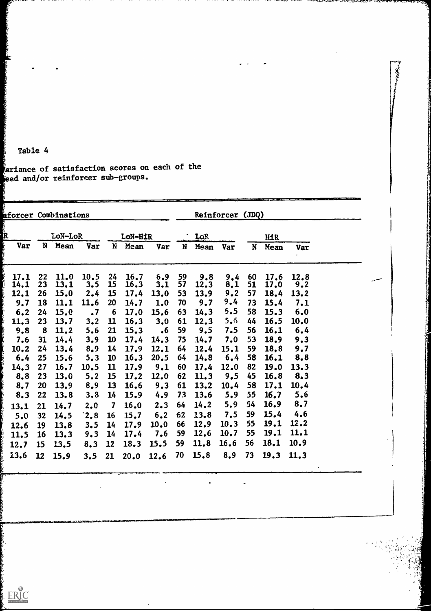ariance of satisfaction scores on each of the ed and/or reinforcer sub-groups.

| nforcer Combinations |                            |                                      |                                        |                                            |                                      |                                              |                            |                                     |                                 |                            |                                                          |                                                   |  |
|----------------------|----------------------------|--------------------------------------|----------------------------------------|--------------------------------------------|--------------------------------------|----------------------------------------------|----------------------------|-------------------------------------|---------------------------------|----------------------------|----------------------------------------------------------|---------------------------------------------------|--|
|                      | LoN-LoR                    |                                      |                                        | LoR                                        |                                      |                                              | <b>HiR</b>                 |                                     |                                 |                            |                                                          |                                                   |  |
| N                    | Mean                       | Var                                  | N                                      | Mean                                       | Var                                  | N                                            | Mean                       | Var                                 | N                               | Mean                       | <b>Var</b>                                               |                                                   |  |
| 22                   | 11.0                       | 10.5                                 | 24                                     | 16.7                                       | 6.9                                  | 59                                           | 9.8                        | 9,4                                 | 60                              | 17.6                       | 12.8                                                     |                                                   |  |
|                      |                            |                                      |                                        |                                            |                                      |                                              |                            |                                     |                                 |                            |                                                          |                                                   |  |
|                      |                            |                                      |                                        |                                            |                                      |                                              |                            |                                     |                                 |                            |                                                          |                                                   |  |
|                      |                            |                                      |                                        |                                            |                                      |                                              |                            |                                     |                                 |                            |                                                          |                                                   |  |
|                      |                            |                                      |                                        |                                            |                                      |                                              |                            |                                     |                                 |                            |                                                          |                                                   |  |
| 8                    | 11.2                       | 5.6                                  | 21                                     | 15.3                                       | $\cdot$ 6                            | 59                                           | 9.5                        | 7.5                                 | 56                              | 16.1                       | 6,4                                                      |                                                   |  |
| 31                   | 14.4                       | 3.9                                  | <b>10</b>                              | 17.4                                       | 14.3                                 | 75                                           | 14.7                       | 7.0                                 | 53                              | 18.9                       | 9.3                                                      |                                                   |  |
| 24                   | 13.4                       | 8,9                                  | 14                                     | 17.9                                       | 12.1                                 | 64                                           | 12.4                       | 15.1                                | 59                              | 18,8                       | 9.7                                                      |                                                   |  |
| 25                   | 15.6                       | 5.3                                  | <b>10</b>                              | 16.3                                       | 20.5                                 | 64                                           | 14.8                       | 6.4                                 | 58                              | 16.1                       | 8,8                                                      |                                                   |  |
| 27                   | 16.7                       | 10.5                                 | 11                                     | 17.9                                       | 9.1                                  | 60                                           | 17.4                       | 12.0                                | 82                              | 19.0                       | 13.3                                                     |                                                   |  |
| 23                   | 13.0                       | 5.2                                  | <b>15</b>                              | 17.2                                       | 12.0                                 | 62                                           | 11.3                       | 9.5                                 | 45                              | 16.8                       | 8,3                                                      |                                                   |  |
| 20                   | 13.9                       | 8.9                                  | <b>13</b>                              | 16.6                                       | 9.3                                  | 61                                           | 13.2                       | 10.4                                | 58                              | 17.1                       | 10.4                                                     |                                                   |  |
| 22                   | 13.8                       | 3,8                                  | <b>14</b>                              | 15.9                                       | 4.9                                  | 73                                           | 13.6                       | 5.9                                 | 55                              | 16.7                       | 5.6                                                      |                                                   |  |
| 21                   | 14.7                       | 2.0                                  | 7                                      | 16.0                                       | 2.3                                  | 64                                           | 14.2                       | 5,9                                 | 54                              | 16.9                       | 8.7                                                      |                                                   |  |
| 32                   | 14.5                       | 2,8                                  | <b>16</b>                              | 15.7                                       | 6, 2                                 | 62                                           | 13.8                       | 7.5                                 | 59                              | 15.4                       | 4.6                                                      |                                                   |  |
| 19                   | 13.8                       | 3.5                                  | 14                                     | 17.9                                       | 10.0                                 | 66                                           | 12.9                       | 10.3                                | 55                              | 19.1                       |                                                          |                                                   |  |
| <b>16</b>            | 13.3                       | 9.3                                  | 14                                     | 17.4                                       | 7.6                                  | 59                                           | 12.6                       | 10.7                                | 55                              | 19.1                       |                                                          |                                                   |  |
| 15                   | 13.5                       | 8,3                                  | 12                                     | 18.3                                       | 15.5                                 | 59                                           | 11.8                       | 16.6                                | 56                              | 18.1                       | 10.9                                                     |                                                   |  |
| 12                   | 15.9                       | 3.5                                  | 21                                     | 20.0                                       | 12.6                                 | 70                                           | 15.8                       | 8.9                                 | 73                              | 19.3                       | 11.3                                                     |                                                   |  |
|                      | 23<br>26<br>18<br>24<br>23 | 13,1<br>15.0<br>11.1<br>15.0<br>13.7 | 3.5<br>2.4<br>11.6<br>$\cdot$ 7<br>3.2 | <b>15</b><br>15<br>20<br>6<br>$\mathbf{u}$ | 16.3<br>17.4<br>14.7<br>17.0<br>16,3 | LoN-HiR<br>3,1<br>13.0<br>1.0<br>15.6<br>3.0 | 57<br>53<br>70<br>63<br>61 | 12.3<br>13.9<br>9.7<br>14.3<br>12.3 | 8.1<br>9.2<br>9,4<br>5.5<br>5.6 | 51<br>57<br>73<br>58<br>44 | Reinforcer (JDQ)<br>17.0<br>18.4<br>15.4<br>15.3<br>16.5 | 9.2<br>13.2<br>7.1<br>6,0<br>10.0<br>12.2<br>11.1 |  |

 $\bullet$ 

プネ